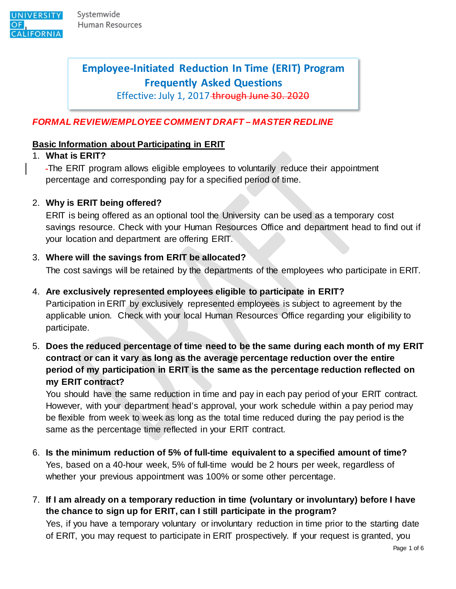

# **Employee-Initiated Reduction In Time (ERIT) Program Frequently Asked Questions**

Effective: July 1, 2017 through June 30. 2020

### *FORMAL REVIEW/EMPLOYEE COMMENT DRAFT – MASTER REDLINE*

#### **Basic Information about Participating in ERIT**

#### 1. **What is ERIT?**

The ERIT program allows eligible employees to voluntarily reduce their appointment percentage and corresponding pay for a specified period of time.

#### 2. **Why is ERIT being offered?**

ERIT is being offered as an optional tool the University can be used as a temporary cost savings resource. Check with your Human Resources Office and department head to find out if your location and department are offering ERIT.

#### 3. **Where will the savings from ERIT be allocated?**

The cost savings will be retained by the departments of the employees who participate in ERIT.

4. **Are exclusively represented employees eligible to participate in ERIT?**

Participation in ERIT by exclusively represented employees is subject to agreement by the applicable union. Check with your local Human Resources Office regarding your eligibility to participate.

5. **Does the reduced percentage of time need to be the same during each month of my ERIT contract or can it vary as long as the average percentage reduction over the entire period of my participation in ERIT is the same as the percentage reduction reflected on my ERIT contract?**

You should have the same reduction in time and pay in each pay period of your ERIT contract. However, with your department head's approval, your work schedule within a pay period may be flexible from week to week as long as the total time reduced during the pay period is the same as the percentage time reflected in your ERIT contract.

- 6. **Is the minimum reduction of 5% of full-time equivalent to a specified amount of time?** Yes, based on a 40-hour week, 5% of full-time would be 2 hours per week, regardless of whether your previous appointment was 100% or some other percentage.
- 7. **If I am already on a temporary reduction in time (voluntary or involuntary) before I have the chance to sign up for ERIT, can I still participate in the program?**

Yes, if you have a temporary voluntary or involuntary reduction in time prior to the starting date of ERIT, you may request to participate in ERIT prospectively. If your request is granted, you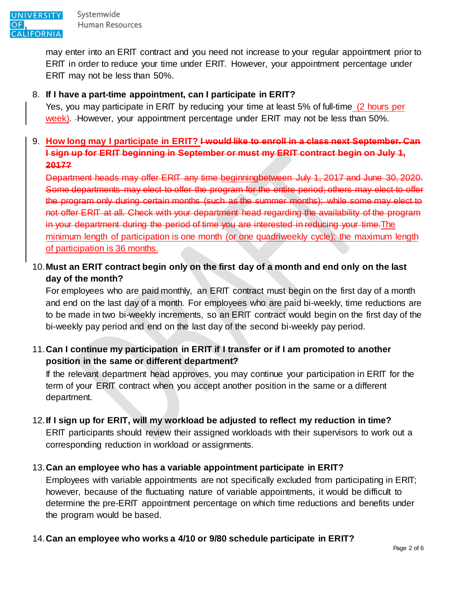

may enter into an ERIT contract and you need not increase to your regular appointment prior to ERIT in order to reduce your time under ERIT. However, your appointment percentage under ERIT may not be less than 50%.

#### 8. **If I have a part-time appointment, can I participate in ERIT?**

Yes, you may participate in ERIT by reducing your time at least 5% of full-time (2 hours per week). However, your appointment percentage under ERIT may not be less than 50%.

### 9. **How long may I participate in ERIT? I would like to enroll in a class next September. Can I sign up for ERIT beginning in September or must my ERIT contract begin on July 1, 2017?**

Department heads may offer ERIT any time beginningbetween July 1, 2017 and June 30, 2020. Some departments may elect to offer the program for the entire period; others may elect to offer the program only during certain months (such as the summer months); while some may elect to not offer ERIT at all. Check with your department head regarding the availability of the program in your department during the period of time you are interested in reducing your time. The minimum length of participation is one month (or one quadriweekly cycle); the maximum length of participation is 36 months.

## 10.**Must an ERIT contract begin only on the first day of a month and end only on the last day of the month?**

For employees who are paid monthly, an ERIT contract must begin on the first day of a month and end on the last day of a month. For employees who are paid bi-weekly, time reductions are to be made in two bi-weekly increments, so an ERIT contract would begin on the first day of the bi-weekly pay period and end on the last day of the second bi-weekly pay period.

### 11.**Can I continue my participation in ERIT if I transfer or if I am promoted to another position in the same or different department?**

If the relevant department head approves, you may continue your participation in ERIT for the term of your ERIT contract when you accept another position in the same or a different department.

#### 12.**If I sign up for ERIT, will my workload be adjusted to reflect my reduction in time?**

ERIT participants should review their assigned workloads with their supervisors to work out a corresponding reduction in workload or assignments.

#### 13.**Can an employee who has a variable appointment participate in ERIT?**

Employees with variable appointments are not specifically excluded from participating in ERIT; however, because of the fluctuating nature of variable appointments, it would be difficult to determine the pre-ERIT appointment percentage on which time reductions and benefits under the program would be based.

#### 14.**Can an employee who works a 4/10 or 9/80 schedule participate in ERIT?**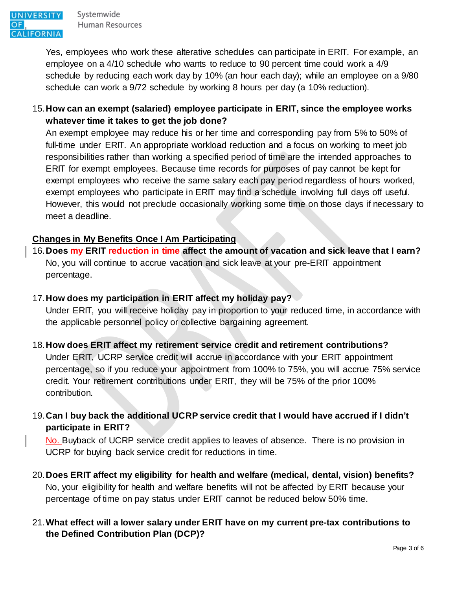Yes, employees who work these alterative schedules can participate in ERIT. For example, an employee on a 4/10 schedule who wants to reduce to 90 percent time could work a 4/9 schedule by reducing each work day by 10% (an hour each day); while an employee on a 9/80 schedule can work a 9/72 schedule by working 8 hours per day (a 10% reduction).

### 15.**How can an exempt (salaried) employee participate in ERIT, since the employee works whatever time it takes to get the job done?**

An exempt employee may reduce his or her time and corresponding pay from 5% to 50% of full-time under ERIT. An appropriate workload reduction and a focus on working to meet job responsibilities rather than working a specified period of time are the intended approaches to ERIT for exempt employees. Because time records for purposes of pay cannot be kept for exempt employees who receive the same salary each pay period regardless of hours worked, exempt employees who participate in ERIT may find a schedule involving full days off useful. However, this would not preclude occasionally working some time on those days if necessary to meet a deadline.

### **Changes in My Benefits Once I Am Participating**

16.**Does my ERIT reduction in time affect the amount of vacation and sick leave that I earn?** No, you will continue to accrue vacation and sick leave at your pre-ERIT appointment percentage.

#### 17.**How does my participation in ERIT affect my holiday pay?**

Under ERIT, you will receive holiday pay in proportion to your reduced time, in accordance with the applicable personnel policy or collective bargaining agreement.

### 18.**How does ERIT affect my retirement service credit and retirement contributions?** Under ERIT, UCRP service credit will accrue in accordance with your ERIT appointment percentage, so if you reduce your appointment from 100% to 75%, you will accrue 75% service credit. Your retirement contributions under ERIT, they will be 75% of the prior 100% contribution.

19.**Can I buy back the additional UCRP service credit that I would have accrued if I didn't participate in ERIT?**

No. Buyback of UCRP service credit applies to leaves of absence. There is no provision in UCRP for buying back service credit for reductions in time.

20.**Does ERIT affect my eligibility for health and welfare (medical, dental, vision) benefits?** No, your eligibility for health and welfare benefits will not be affected by ERIT because your percentage of time on pay status under ERIT cannot be reduced below 50% time.

### 21.**What effect will a lower salary under ERIT have on my current pre-tax contributions to the Defined Contribution Plan (DCP)?**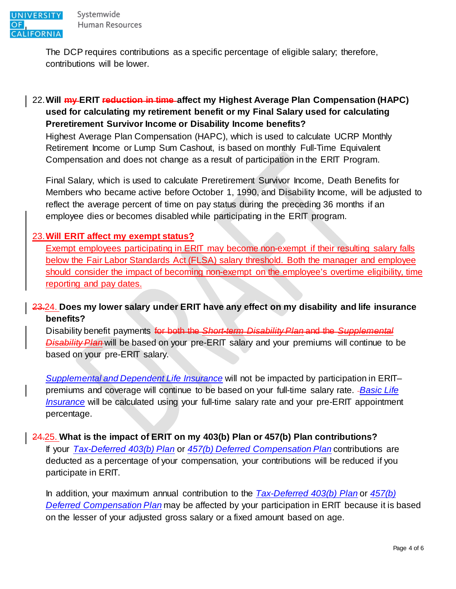The DCP requires contributions as a specific percentage of eligible salary; therefore, contributions will be lower.

### 22.**Will my ERIT reduction in time affect my Highest Average Plan Compensation (HAPC) used for calculating my retirement benefit or my Final Salary used for calculating Preretirement Survivor Income or Disability Income benefits?**

Highest Average Plan Compensation (HAPC), which is used to calculate UCRP Monthly Retirement Income or Lump Sum Cashout, is based on monthly Full-Time Equivalent Compensation and does not change as a result of participation in the ERIT Program.

Final Salary, which is used to calculate Preretirement Survivor Income, Death Benefits for Members who became active before October 1, 1990, and Disability Income, will be adjusted to reflect the average percent of time on pay status during the preceding 36 months if an employee dies or becomes disabled while participating in the ERIT program.

#### 23.**Will ERIT affect my exempt status?**

Exempt employees participating in ERIT may become non-exempt if their resulting salary falls below the Fair Labor Standards Act (FLSA) salary threshold. Both the manager and employee should consider the impact of becoming non-exempt on the employee's overtime eligibility, time reporting and pay dates.

#### 23.24. **Does my lower salary under ERIT have any effect on my disability and life insurance benefits?**

Disability benefit payments for both the *Short-term Disability Plan* and the *Supplemental Disability Plan* will be based on your pre-ERIT salary and your premiums will continue to be based on your pre-ERIT salary.

*[Supplemental and Dependent Life Insurance](http://ucnet.universityofcalifornia.edu/compensation-and-benefits/disability-life-accident/life-insurance/index.html)* will not be impacted by participation in ERIT– premiums and coverage will continue to be based on your full-time salary rate. *[Basic Life](http://ucnet.universityofcalifornia.edu/compensation-and-benefits/disability-life-accident/life-insurance/index.html)  [Insurance](http://ucnet.universityofcalifornia.edu/compensation-and-benefits/disability-life-accident/life-insurance/index.html)* will be calculated using your full-time salary rate and your pre-ERIT appointment percentage.

#### 24.25. **What is the impact of ERIT on my 403(b) Plan or 457(b) Plan contributions?**

If your *[Tax-Deferred 403\(b\) Plan](http://ucnet.universityofcalifornia.edu/compensation-and-benefits/retirement-benefits/ucrs/index.html)* or *[457\(b\) Deferred Compensation Plan](http://ucnet.universityofcalifornia.edu/compensation-and-benefits/retirement-benefits/ucrs/index.html)* contributions are deducted as a percentage of your compensation, your contributions will be reduced if you participate in ERIT.

In addition, your maximum annual contribution to the *[Tax-Deferred 403\(b\) Plan](http://ucnet.universityofcalifornia.edu/compensation-and-benefits/retirement-benefits/ucrs/index.html)* or *[457\(b\)](http://ucnet.universityofcalifornia.edu/compensation-and-benefits/retirement-benefits/ucrs/index.html)  [Deferred Compensation Plan](http://ucnet.universityofcalifornia.edu/compensation-and-benefits/retirement-benefits/ucrs/index.html)* may be affected by your participation in ERIT because it is based on the lesser of your adjusted gross salary or a fixed amount based on age.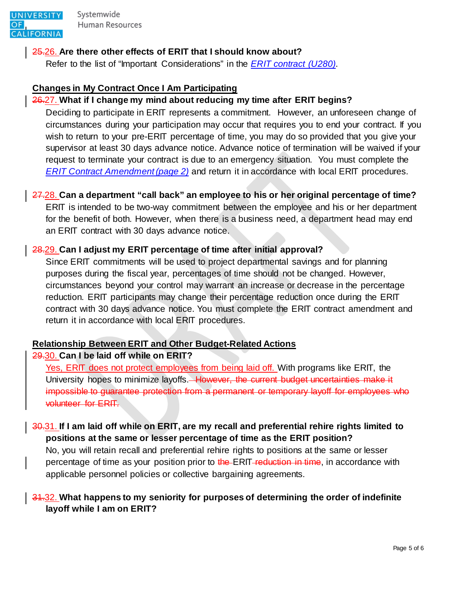

Systemwide Human Resources

## 25.26. **Are there other effects of ERIT that I should know about?**

Refer to the list of "Important Considerations" in the *[ERIT contract \(U280\)](http://ucnet.universityofcalifornia.edu/forms/pdf/erit-contract.pdf)*.

## **Changes in My Contract Once I Am Participating**

# 26.27. **What if I change my mind about reducing my time after ERIT begins?**

Deciding to participate in ERIT represents a commitment. However, an unforeseen change of circumstances during your participation may occur that requires you to end your contract. If you wish to return to your pre-ERIT percentage of time, you may do so provided that you give your supervisor at least 30 days advance notice. Advance notice of termination will be waived if your request to terminate your contract is due to an emergency situation. You must complete the *[ERIT Contract Amendment \(page 2\)](http://ucnet.universityofcalifornia.edu/forms/pdf/erit-contract.pdf)* and return it in accordance with local ERIT procedures.

# 27.28. **Can a department "call back" an employee to his or her original percentage of time?**

ERIT is intended to be two-way commitment between the employee and his or her department for the benefit of both. However, when there is a business need, a department head may end an ERIT contract with 30 days advance notice.

# 28.29. **Can I adjust my ERIT percentage of time after initial approval?**

Since ERIT commitments will be used to project departmental savings and for planning purposes during the fiscal year, percentages of time should not be changed. However, circumstances beyond your control may warrant an increase or decrease in the percentage reduction. ERIT participants may change their percentage reduction once during the ERIT contract with 30 days advance notice. You must complete the ERIT contract amendment and return it in accordance with local ERIT procedures.

# **Relationship Between ERIT and Other Budget-Related Actions**

## 29.30. **Can I be laid off while on ERIT?**

Yes, ERIT does not protect employees from being laid off. With programs like ERIT, the University hopes to minimize layoffs.<del> However, the current budget uncertainties make it</del> impossible to guarantee protection from a permanent or temporary layoff for employees who volunteer for ERIT.

# 30.31. **If I am laid off while on ERIT, are my recall and preferential rehire rights limited to positions at the same or lesser percentage of time as the ERIT position?**

No, you will retain recall and preferential rehire rights to positions at the same or lesser percentage of time as your position prior to the ERIT-reduction in time, in accordance with applicable personnel policies or collective bargaining agreements.

## 31.32. **What happens to my seniority for purposes of determining the order of indefinite layoff while I am on ERIT?**